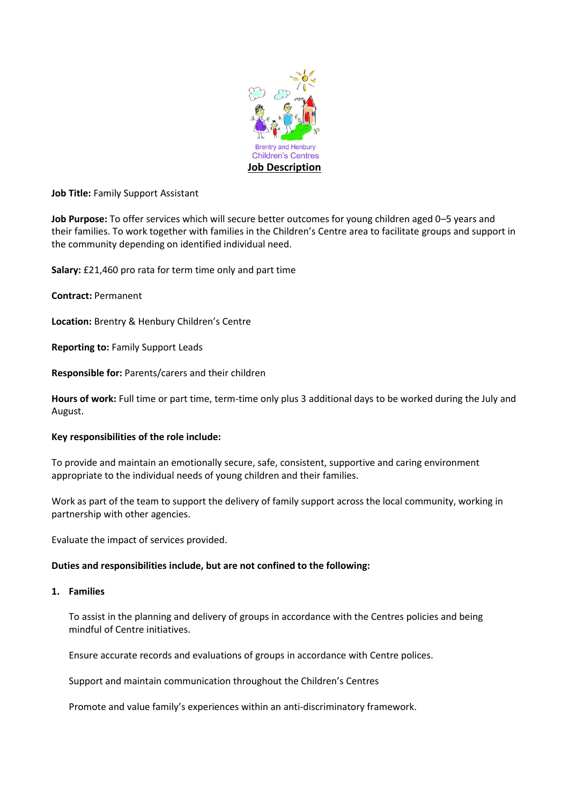

**Job Title:** Family Support Assistant

**Job Purpose:** To offer services which will secure better outcomes for young children aged 0–5 years and their families. To work together with families in the Children's Centre area to facilitate groups and support in the community depending on identified individual need.

**Salary:** £21,460 pro rata for term time only and part time

**Contract:** Permanent

**Location:** Brentry & Henbury Children's Centre

**Reporting to:** Family Support Leads

**Responsible for:** Parents/carers and their children

**Hours of work:** Full time or part time, term-time only plus 3 additional days to be worked during the July and August.

# **Key responsibilities of the role include:**

To provide and maintain an emotionally secure, safe, consistent, supportive and caring environment appropriate to the individual needs of young children and their families.

Work as part of the team to support the delivery of family support across the local community, working in partnership with other agencies.

Evaluate the impact of services provided.

# **Duties and responsibilities include, but are not confined to the following:**

**1. Families**

To assist in the planning and delivery of groups in accordance with the Centres policies and being mindful of Centre initiatives.

Ensure accurate records and evaluations of groups in accordance with Centre polices.

Support and maintain communication throughout the Children's Centres

Promote and value family's experiences within an anti-discriminatory framework.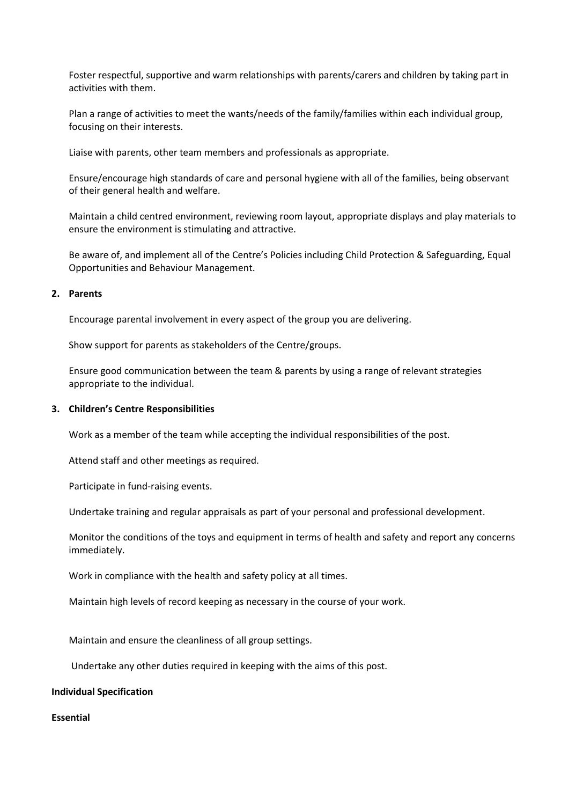Foster respectful, supportive and warm relationships with parents/carers and children by taking part in activities with them.

Plan a range of activities to meet the wants/needs of the family/families within each individual group, focusing on their interests.

Liaise with parents, other team members and professionals as appropriate.

Ensure/encourage high standards of care and personal hygiene with all of the families, being observant of their general health and welfare.

Maintain a child centred environment, reviewing room layout, appropriate displays and play materials to ensure the environment is stimulating and attractive.

Be aware of, and implement all of the Centre's Policies including Child Protection & Safeguarding, Equal Opportunities and Behaviour Management.

# **2. Parents**

Encourage parental involvement in every aspect of the group you are delivering.

Show support for parents as stakeholders of the Centre/groups.

Ensure good communication between the team & parents by using a range of relevant strategies appropriate to the individual.

#### **3. Children's Centre Responsibilities**

Work as a member of the team while accepting the individual responsibilities of the post.

Attend staff and other meetings as required.

Participate in fund-raising events.

Undertake training and regular appraisals as part of your personal and professional development.

Monitor the conditions of the toys and equipment in terms of health and safety and report any concerns immediately.

Work in compliance with the health and safety policy at all times.

Maintain high levels of record keeping as necessary in the course of your work.

Maintain and ensure the cleanliness of all group settings.

Undertake any other duties required in keeping with the aims of this post.

#### **Individual Specification**

**Essential**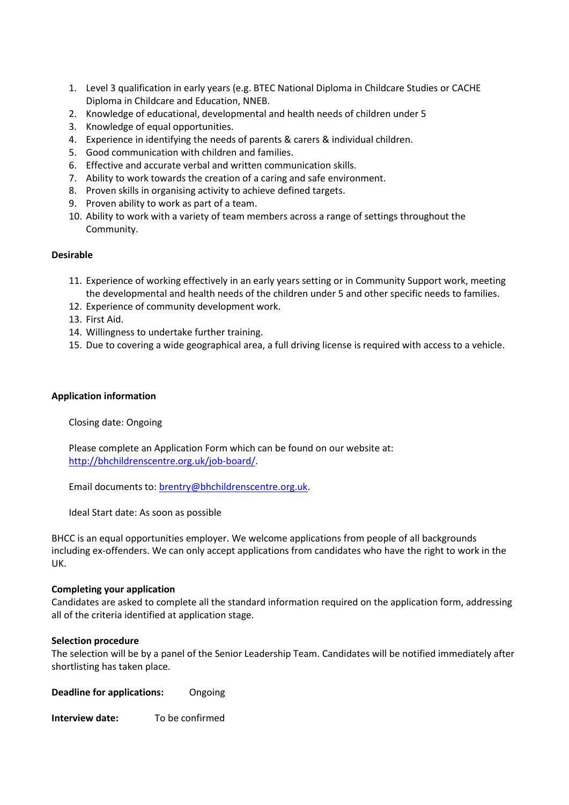- 1. Level 3 qualification in early years (e.g. BTEC National Diploma in Childcare Studies or CACHE Diploma in Childcare and Education, NNEB.
- 2. Knowledge of educational, developmental and health needs of children under 5
- 3. Knowledge of equal opportunities.
- 4. Experience in identifying the needs of parents & carers & individual children.
- 5. Good communication with children and families.
- 6. Effective and accurate verbal and written communication skills.
- 7. Ability to work towards the creation of a caring and safe environment.
- 8. Proven skills in organising activity to achieve defined targets.
- 9. Proven ability to work as part of a team.
- 10. Ability to work with a variety of team members across a range of settings throughout the Community.

### **Desirable**

- 11. Experience of working effectively in an early years setting or in Community Support work, meeting the developmental and health needs of the children under 5 and other specific needs to families.
- 12. Experience of community development work.
- 13. First Aid.
- 14. Willingness to undertake further training.
- 15. Due to covering a wide geographical area, a full driving license is required with access to a vehicle.

### **Application information**

Closing date: Ongoing

Please complete an Application Form which can be found on our website at: [http://bhchildrenscentre.org.uk/job-board/.](http://bhchildrenscentre.org.uk/job-board/)

Email documents to: [brentry@bhchildrenscentre.org.uk.](mailto:brentry@bhchildrenscentre.org.uk)

Ideal Start date: As soon as possible

BHCC is an equal opportunities employer. We welcome applications from people of all backgrounds including ex-offenders. We can only accept applications from candidates who have the right to work in the UK.

# **Completing your application**

Candidates are asked to complete all the standard information required on the application form, addressing all of the criteria identified at application stage.

#### **Selection procedure**

The selection will be by a panel of the Senior Leadership Team. Candidates will be notified immediately after shortlisting has taken place.

**Deadline for applications:** Ongoing

**Interview date:** To be confirmed